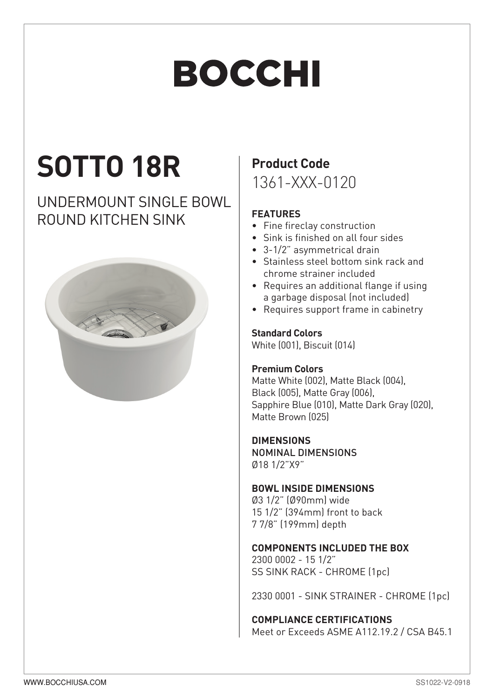# **BOCCHI**

## **SOTTO 18R**

### UNDERMOUNT SINGLE BOWL ROUND KITCHEN SINK



### **Product Code**

1361-XXX-0120

#### **FEATURES**

- Fine fireclay construction
- Sink is finished on all four sides
- 3-1/2" asymmetrical drain
- Stainless steel bottom sink rack and chrome strainer included
- Requires an additional flange if using a garbage disposal (not included)
- Requires support frame in cabinetry

#### **Standard Colors**

White (001), Biscuit (014)

#### **Premium Colors**

Matte White (002), Matte Black (004). Black (005), Matte Gray (006), Sapphire Blue (010), Matte Dark Gray (020), Matte Brown (025)

#### **DIMENSIONS**

NOMINAL DIMENSIONS Ø18 1/2"X9"

#### **BOWL INSIDE DIMENSIONS**

Ø3 1/2" (Ø90mm) wide  $151/2$ " (394mm) front to back 7 7/8" (199mm) depth

#### **COMPONENTS INCLUDED THE BOX**

2300 0002 - 15 1/2" SS SINK RACK - CHROME (1pc)

2330 0001 - SINK STRAINER - CHROME [1pc]

#### **COMPLIANCE CERTIFICATIONS**

Meet or Exceeds ASME A112.19.2 / CSA B45.1